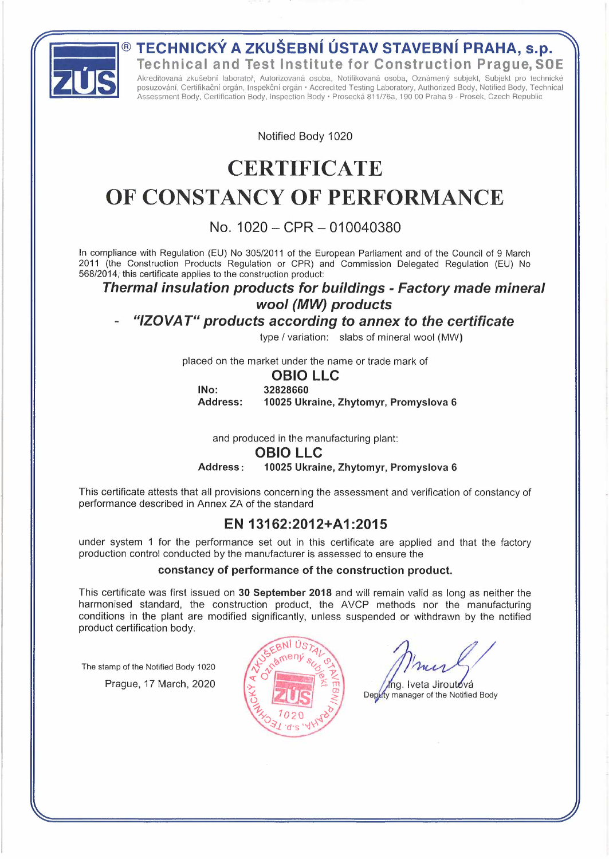**Technical and Test Institute for Construction Prague,SOE** 

**ECHNICKÝ A ZKUŠEBNÍ ÚSTAV STAVEBNÍ PRAHA, S.P.**<br>Technical and Test Institute for Construction Prague, Sola<br>
Akreditovaná zkušební laborator, Autorizovaná osoba, Notifikační orgán, hepekční orgán · Accredited Testing Labor Akreditovaná zkušební laboratoř, Autorizovaná osoba, Notifikovaná osoba, Oznámený subjekt, Subjekt pro technické posuzování, Certifikační orgán, Inspekční orgán· Accredited Testing Laboratory, Authorized Body, Notified Body, Technical Assessment Body, Certification Body, lnspection Body • Prosecká 811 /76a, 190 00 Praha 9 - Prosek, Czech Republic

Notified Body 1020

# **CERTIFICATE OF CONSTANCY OF PERFORMANCE**

## **No. 1020 - CPR - 010040380**

ln compliance with Regulation (EU) No 305/2011 of the European Parliament and of the Council of <sup>9</sup> March 2011 (the Construction Products Regulation or CPR) and Commission Delegated Regulation (EU) No 568/2014, this certificate applies to the construction product:

#### *Thermal insulation products for buildings - Factory made mineral woo/ (MW) products*

## *"/ZOVAT" products according to annex to the certificate*

type/ variation: slabs of mineral wool (MW)

placed on the market under the name or trade mark of

#### **OBIO LLC**

**INo: Address: 32828660 10025 Ukraine, Zhytomyr, Promyslova 6** 

and produced in the manufacturing plant:

#### **OBIO LLC**

**Address: 10025 Ukraine, Zhytomyr, Promyslova 6** 

This certificate attests that all provisions concerning the assessment and verification of constancy of performance described in Annex ZA of the standard

## **EN 13162:2012+A1 :2015**

under system <sup>1</sup> for the performance set out in this certificate are applied and that the factory production control conducted by the manufacturer is assessed to ensure the

#### **constancy of performance of the construction product.**

This certificate was first issued on **30 September 2018** and will remain valid as long as neither the harmonised standard, the construction product, the AVCP methods nor the manufacturing conditions in the plant are modified significantly, unless suspended or withdrawn by the notified product certification body.

The stamp of the Notified Body 1020 Prague, 17 March, 2020



Ing. Iveta Jiroutová Depaty manager of the Notified Body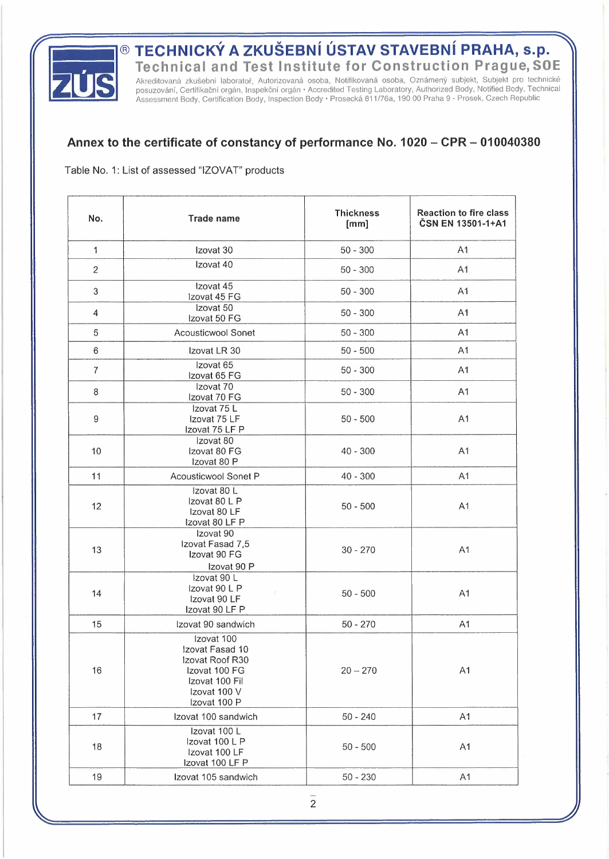

**Technical and Test Institute for Construction Prague,SOE**

**ECHNICKÝ A ZKUŠEBNÍ ÚSTAV STAVEBNÍ PRAHA, s.p.**<br>Technical and Test Institute for Construction Prague, SO<br>Akreditovaná zkušební laboratoř, Autorizovaná osoba, Notifikovaná osoba, Oznámený subjekt, Subjekt pro technic<br>Posuz Akreditovaná zkušební laboratoř, Autorizovaná osoba, Notifikovaná osoba, Oznámený subjekt, Subjekt pro technické posuzování, Certifikační orgán, Inspekční orgán • Accredited Testing Laboratory, Authorized Body, Notified Body, Technical Assessment Body, Certification Body, lnspection Body· Prosecká 811/76a, 190 <sup>00</sup> Praha <sup>9</sup> - Prosek, Czech Republic

#### **Annex to the certificate of constancy of performance No. <sup>1020</sup> - CPR - <sup>010040380</sup>**

Table No. 1: List of assessed "IZOVAT" products

| No.            | <b>Trade name</b>                                                                                                   | <b>Thickness</b><br>[mm] | <b>Reaction to fire class</b><br>ČSN EN 13501-1+A1 |
|----------------|---------------------------------------------------------------------------------------------------------------------|--------------------------|----------------------------------------------------|
| $\mathbf{1}$   | Izovat 30                                                                                                           | $50 - 300$               | A <sub>1</sub>                                     |
| 2              | Izovat 40                                                                                                           | $50 - 300$               | A1                                                 |
| 3              | Izovat 45<br>Izovat 45 FG                                                                                           | $50 - 300$               | A1                                                 |
| 4              | Izovat 50<br>Izovat 50 FG                                                                                           | $50 - 300$               | A <sub>1</sub>                                     |
| 5              | <b>Acousticwool Sonet</b>                                                                                           | $50 - 300$               | A <sub>1</sub>                                     |
| 6              | Izovat LR 30                                                                                                        | $50 - 500$               | A1                                                 |
| $\overline{7}$ | Izovat 65<br>Izovat 65 FG                                                                                           | $50 - 300$               | A <sub>1</sub>                                     |
| 8              | Izovat 70<br>Izovat 70 FG                                                                                           | $50 - 300$               | A1                                                 |
| $\hbox{9}$     | Izovat 75 L<br>Izovat 75 LF<br>Izovat 75 LF P                                                                       | $50 - 500$               | A1                                                 |
| 10             | Izovat 80<br>Izovat 80 FG<br>Izovat 80 P                                                                            | $40 - 300$               | A1                                                 |
| 11             | Acousticwool Sonet P                                                                                                | $40 - 300$               | A1                                                 |
| 12             | Izovat 80 L<br>Izovat 80 L P<br>Izovat 80 LF<br>Izovat 80 LF P                                                      | $50 - 500$               | A <sub>1</sub>                                     |
| 13             | Izovat 90<br>Izovat Fasad 7,5<br>Izovat 90 FG<br>Izovat 90 P                                                        | $30 - 270$               | A <sub>1</sub>                                     |
| 14             | Izovat 90 L<br>Izovat 90 L P<br>Izovat 90 LF<br>Izovat 90 LF P                                                      | $50 - 500$               | A1                                                 |
| 15             | Izovat 90 sandwich                                                                                                  | $50 - 270$               | A1                                                 |
| 16             | Izovat 100<br>Izovat Fasad 10<br>Izovat Roof R30<br>Izovat 100 FG<br>Izovat 100 Fil<br>Izovat 100 V<br>Izovat 100 P | $20 - 270$               | A <sub>1</sub>                                     |
| 17             | Izovat 100 sandwich                                                                                                 | $50 - 240$               | A1                                                 |
| 18             | Izovat 100 L<br>Izovat 100 L P<br>Izovat 100 LF<br>Izovat 100 LF P                                                  | $50 - 500$               | A <sub>1</sub>                                     |
| 19             | Izovat 105 sandwich                                                                                                 | $50 - 230$               | A1                                                 |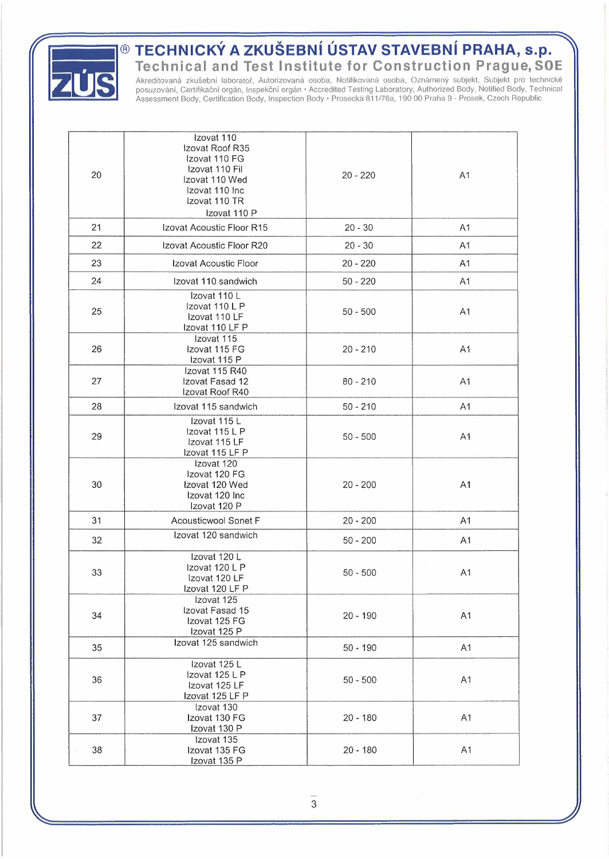

## ® **TECHNICKÝ A ZKUŠEBNÍ ÚSTAV STAVEBNÍ PRAHA, s.p.**

**Technical and Test Institute for Construction Prague,SOE** 

Akreditovaná zkušební laboratoř, Autorizovaná osoba, Notifikovaná osoba, Oznámený subjekt, Subjekt pro technické posuzování, Certifikační orgán, Inspekční orgán• Accredited Testing Laboratory, Authorized Body, Notified Body, Technical Assessment Body, Certification Body, lnspection Body • Prosecká 811 /76a, 190 00 Praha 9 - Prosek, Czech Republic

| 20 | Izovat 110<br>Izovat Roof R35<br>Izovat 110 FG<br>Izovat 110 Fil<br>Izovat 110 Wed<br>Izovat 110 Inc<br>Izovat 110 TR<br>Izovat 110 P | $20 - 220$ | A <sub>1</sub> |
|----|---------------------------------------------------------------------------------------------------------------------------------------|------------|----------------|
| 21 | Izovat Acoustic Floor R15                                                                                                             | $20 - 30$  | A <sub>1</sub> |
| 22 | Izovat Acoustic Floor R20                                                                                                             | $20 - 30$  | A <sub>1</sub> |
| 23 | Izovat Acoustic Floor                                                                                                                 | $20 - 220$ | A <sub>1</sub> |
| 24 | Izovat 110 sandwich                                                                                                                   | $50 - 220$ | A <sub>1</sub> |
| 25 | Izovat 110 L<br>Izovat 110 L P<br>Izovat 110 LF<br>Izovat 110 LF P                                                                    | $50 - 500$ | A <sub>1</sub> |
| 26 | Izovat 115<br>Izovat 115 FG<br>Izovat 115 P                                                                                           | $20 - 210$ | A1             |
| 27 | Izovat 115 R40<br>Izovat Fasad 12<br>Izovat Roof R40                                                                                  | $80 - 210$ | A <sub>1</sub> |
| 28 | Izovat 115 sandwich                                                                                                                   | $50 - 210$ | A <sub>1</sub> |
| 29 | Izovat 115 L<br>Izovat 115 L P<br>Izovat 115 LF<br>Izovat 115 LF P                                                                    | $50 - 500$ | A <sub>1</sub> |
| 30 | Izovat 120<br>Izovat 120 FG<br>Izovat 120 Wed<br>Izovat 120 Inc<br>Izovat 120 P                                                       | $20 - 200$ | A1             |
| 31 | <b>Acousticwool Sonet F</b>                                                                                                           | $20 - 200$ | A <sub>1</sub> |
| 32 | Izovat 120 sandwich                                                                                                                   | $50 - 200$ | A <sub>1</sub> |
| 33 | Izovat 120 L<br>Izovat 120 L P<br>Izovat 120 LF<br>Izovat 120 LF P                                                                    | $50 - 500$ | A <sub>1</sub> |
| 34 | Izovat 125<br>Izovat Fasad 15<br>Izovat 125 FG<br>Izovat 125 P                                                                        | $20 - 190$ | A1             |
| 35 | Izovat 125 sandwich                                                                                                                   | $50 - 190$ | A <sub>1</sub> |
| 36 | Izovat 125 L<br>Izovat 125 L P<br>Izovat 125 LF<br>Izovat 125 LF P                                                                    | $50 - 500$ | A <sub>1</sub> |
| 37 | Izovat 130<br>Izovat 130 FG<br>Izovat 130 P                                                                                           | $20 - 180$ | A <sub>1</sub> |
| 38 | Izovat 135<br>Izovat 135 FG<br>Izovat 135 P                                                                                           | 20 - 180   | A1             |